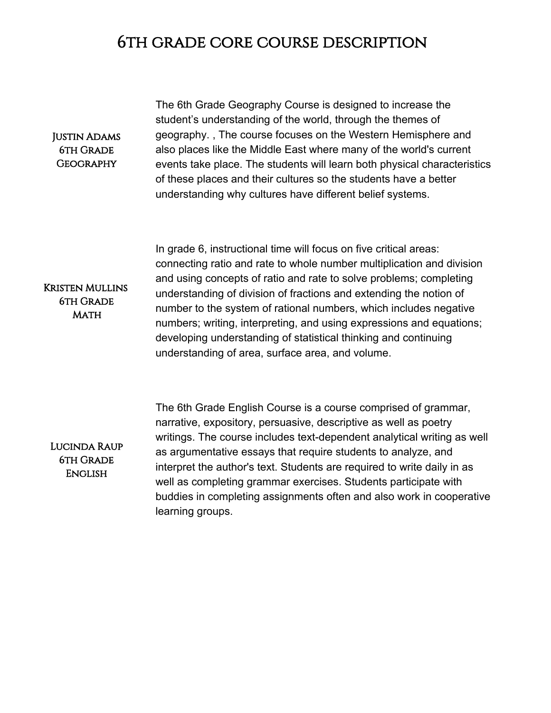## 6th grade core course description

## Justin Adams **6TH GRADE GEOGRAPHY**

The 6th Grade Geography Course is designed to increase the student's understanding of the world, through the themes of geography. , The course focuses on the Western Hemisphere and also places like the Middle East where many of the world's current events take place. The students will learn both physical characteristics of these places and their cultures so the students have a better understanding why cultures have different belief systems.

In grade 6, instructional time will focus on five critical areas: connecting ratio and rate to whole number multiplication and division and using concepts of ratio and rate to solve problems; completing understanding of division of fractions and extending the notion of number to the system of rational numbers, which includes negative numbers; writing, interpreting, and using expressions and equations; developing understanding of statistical thinking and continuing understanding of area, surface area, and volume.

Kristen Mullins 6th Grade **MATH** 

Lucinda Raup 6th Grade **ENGLISH** 

The 6th Grade English Course is a course comprised of grammar, narrative, expository, persuasive, descriptive as well as poetry writings. The course includes text-dependent analytical writing as well as argumentative essays that require students to analyze, and interpret the author's text. Students are required to write daily in as well as completing grammar exercises. Students participate with buddies in completing assignments often and also work in cooperative learning groups.